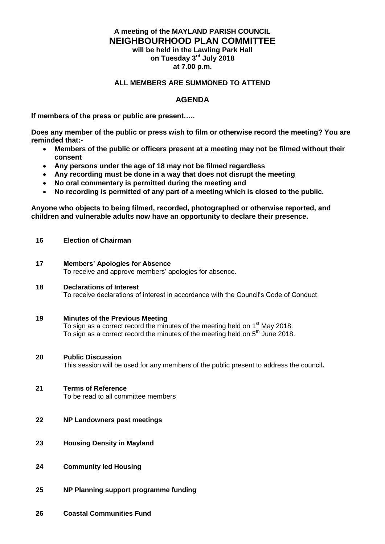## **A meeting of the MAYLAND PARISH COUNCIL NEIGHBOURHOOD PLAN COMMITTEE will be held in the Lawling Park Hall**

**on Tuesday 3 rd July 2018 at 7.00 p.m.**

## **ALL MEMBERS ARE SUMMONED TO ATTEND**

## **AGENDA**

**If members of the press or public are present…..**

**Does any member of the public or press wish to film or otherwise record the meeting? You are reminded that:-**

- **Members of the public or officers present at a meeting may not be filmed without their consent**
- **Any persons under the age of 18 may not be filmed regardless**
- **Any recording must be done in a way that does not disrupt the meeting**
- **No oral commentary is permitted during the meeting and**<br>• No recording is permitted of any part of a meeting which
- **No recording is permitted of any part of a meeting which is closed to the public.**

**Anyone who objects to being filmed, recorded, photographed or otherwise reported, and children and vulnerable adults now have an opportunity to declare their presence.**

- **16 Election of Chairman**
- **17 Members' Apologies for Absence** To receive and approve members' apologies for absence.
- **18 Declarations of Interest** To receive declarations of interest in accordance with the Council's Code of Conduct
- **19 Minutes of the Previous Meeting**  To sign as a correct record the minutes of the meeting held on 1<sup>st</sup> May 2018. To sign as a correct record the minutes of the meeting held on  $5<sup>th</sup>$  June 2018.
- **20 Public Discussion**

This session will be used for any members of the public present to address the council**.**

**21 Terms of Reference**

To be read to all committee members

- **22 NP Landowners past meetings**
- **23 Housing Density in Mayland**
- **24 Community led Housing**
- **25 NP Planning support programme funding**
- **26 Coastal Communities Fund**